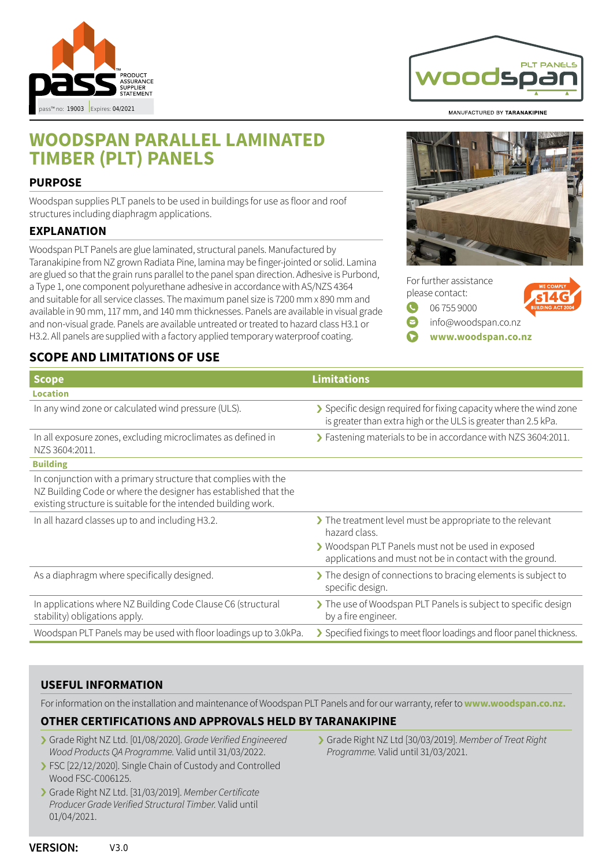

# **WOODSPAN PARALLEL LAMINATED TIMBER (PLT) PANELS**

#### **PURPOSE**

Woodspan supplies PLT panels to be used in buildings for use as floor and roof structures including diaphragm applications.

#### **EXPLANATION**

Woodspan PLT Panels are glue laminated, structural panels. Manufactured by Taranakipine from NZ grown Radiata Pine, lamina may be finger-jointed or solid. Lamina are glued so that the grain runs parallel to the panel span direction. Adhesive is Purbond, a Type 1, one component polyurethane adhesive in accordance with AS/NZS 4364 and suitable for all service classes. The maximum panel size is 7200 mm x 890 mm and available in 90 mm, 117 mm, and 140 mm thicknesses. Panels are available in visual grade and non-visual grade. Panels are available untreated or treated to hazard class H3.1 or H3.2. All panels are supplied with a factory applied temporary waterproof coating.

## **SCOPE AND LIMITATIONS OF USE**

MANUFACTURED BY TARANAKIPINE





| <b>Scope</b>                                                                                                                                                                                        | <b>Limitations</b>                                                                                                                   |
|-----------------------------------------------------------------------------------------------------------------------------------------------------------------------------------------------------|--------------------------------------------------------------------------------------------------------------------------------------|
| <b>Location</b>                                                                                                                                                                                     |                                                                                                                                      |
| In any wind zone or calculated wind pressure (ULS).                                                                                                                                                 | > Specific design required for fixing capacity where the wind zone<br>is greater than extra high or the ULS is greater than 2.5 kPa. |
| In all exposure zones, excluding microclimates as defined in<br>NZS 3604:2011.                                                                                                                      | > Fastening materials to be in accordance with NZS 3604:2011.                                                                        |
| <b>Building</b>                                                                                                                                                                                     |                                                                                                                                      |
| In conjunction with a primary structure that complies with the<br>NZ Building Code or where the designer has established that the<br>existing structure is suitable for the intended building work. |                                                                                                                                      |
| In all hazard classes up to and including H3.2.                                                                                                                                                     | The treatment level must be appropriate to the relevant<br>hazard class.                                                             |
|                                                                                                                                                                                                     | > Woodspan PLT Panels must not be used in exposed<br>applications and must not be in contact with the ground.                        |
| As a diaphragm where specifically designed.                                                                                                                                                         | The design of connections to bracing elements is subject to<br>specific design.                                                      |
| In applications where NZ Building Code Clause C6 (structural<br>stability) obligations apply.                                                                                                       | The use of Woodspan PLT Panels is subject to specific design<br>by a fire engineer.                                                  |
| Woodspan PLT Panels may be used with floor loadings up to 3.0kPa.                                                                                                                                   | > Specified fixings to meet floor loadings and floor panel thickness.                                                                |

## **USEFUL INFORMATION**

For information on the installation and maintenance of Woodspan PLT Panels and for our warranty, refer to **[www.woodspan.co.nz.](http://www.woodspan.co.nz)**

#### **OTHER CERTIFICATIONS AND APPROVALS HELD BY TARANAKIPINE**

- › Grade Right NZ Ltd. [01/08/2020]. Grade Verified Engineered Wood Products QA Programme. Valid until 31/03/2022.
- › FSC [22/12/2020]. Single Chain of Custody and Controlled Wood FSC-C006125.
- › Grade Right NZ Ltd. [31/03/2019]. Member Certificate Producer Grade Verified Structural Timber. Valid until 01/04/2021.
- › Grade Right NZ Ltd [30/03/2019]. Member of Treat Right Programme. Valid until 31/03/2021.